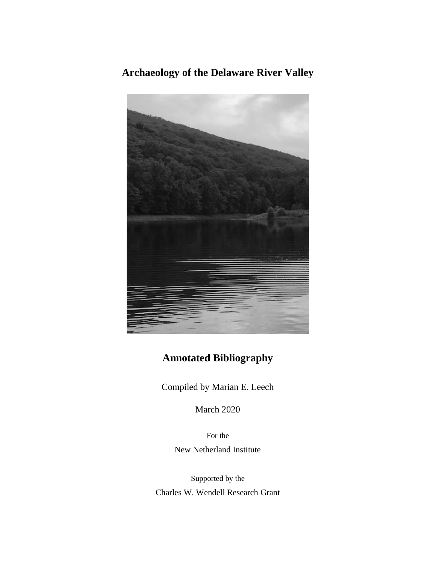**Archaeology of the Delaware River Valley**



# **Annotated Bibliography**

Compiled by Marian E. Leech

March 2020

For the New Netherland Institute

Supported by the Charles W. Wendell Research Grant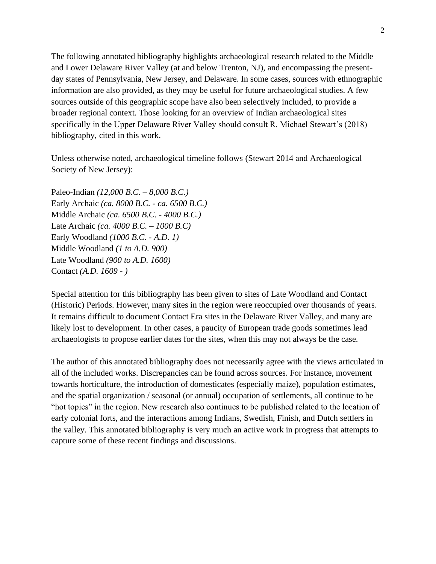The following annotated bibliography highlights archaeological research related to the Middle and Lower Delaware River Valley (at and below Trenton, NJ), and encompassing the presentday states of Pennsylvania, New Jersey, and Delaware. In some cases, sources with ethnographic information are also provided, as they may be useful for future archaeological studies. A few sources outside of this geographic scope have also been selectively included, to provide a broader regional context. Those looking for an overview of Indian archaeological sites specifically in the Upper Delaware River Valley should consult R. Michael Stewart's (2018) bibliography, cited in this work.

Unless otherwise noted, archaeological timeline follows (Stewart 2014 and Archaeological Society of New Jersey):

Paleo-Indian *(12,000 B.C. – 8,000 B.C.)* Early Archaic *(ca. 8000 B.C. - ca. 6500 B.C.)* Middle Archaic *(ca. 6500 B.C. - 4000 B.C.)* Late Archaic *(ca. 4000 B.C. – 1000 B.C)*  Early Woodland *(1000 B.C. - A.D. 1)* Middle Woodland *(1 to A.D. 900)* Late Woodland *(900 to A.D. 1600)*  Contact *(A.D. 1609 - )* 

Special attention for this bibliography has been given to sites of Late Woodland and Contact (Historic) Periods. However, many sites in the region were reoccupied over thousands of years. It remains difficult to document Contact Era sites in the Delaware River Valley, and many are likely lost to development. In other cases, a paucity of European trade goods sometimes lead archaeologists to propose earlier dates for the sites, when this may not always be the case.

The author of this annotated bibliography does not necessarily agree with the views articulated in all of the included works. Discrepancies can be found across sources. For instance, movement towards horticulture, the introduction of domesticates (especially maize), population estimates, and the spatial organization / seasonal (or annual) occupation of settlements, all continue to be "hot topics" in the region. New research also continues to be published related to the location of early colonial forts, and the interactions among Indians, Swedish, Finish, and Dutch settlers in the valley. This annotated bibliography is very much an active work in progress that attempts to capture some of these recent findings and discussions.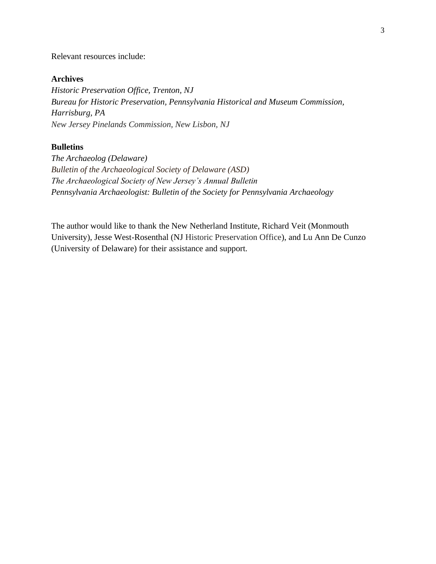#### Relevant resources include:

### **Archives**

*Historic Preservation Office, Trenton, NJ Bureau for Historic Preservation, Pennsylvania Historical and Museum Commission, Harrisburg, PA New Jersey Pinelands Commission, New Lisbon, NJ*

## **Bulletins**

*The Archaeolog (Delaware) Bulletin of the Archaeological Society of Delaware (ASD) The Archaeological Society of New Jersey's Annual Bulletin Pennsylvania Archaeologist: Bulletin of the Society for Pennsylvania Archaeology*

The author would like to thank the New Netherland Institute, Richard Veit (Monmouth University), Jesse West-Rosenthal (NJ Historic Preservation Office), and Lu Ann De Cunzo (University of Delaware) for their assistance and support.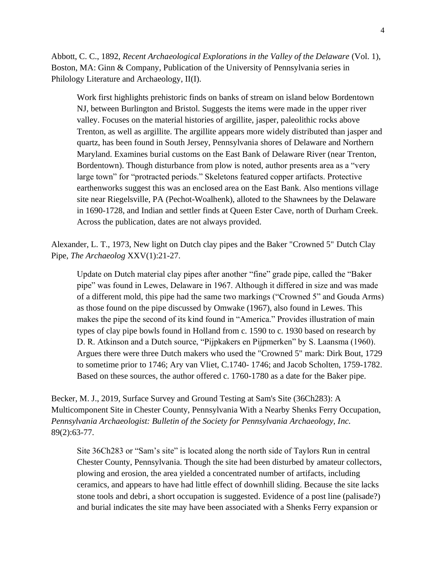Abbott, C. C., 1892, *Recent Archaeological Explorations in the Valley of the Delaware* (Vol. 1), Boston, MA: Ginn & Company, Publication of the University of Pennsylvania series in Philology Literature and Archaeology, II(I).

Work first highlights prehistoric finds on banks of stream on island below Bordentown NJ, between Burlington and Bristol. Suggests the items were made in the upper river valley. Focuses on the material histories of argillite, jasper, paleolithic rocks above Trenton, as well as argillite. The argillite appears more widely distributed than jasper and quartz, has been found in South Jersey, Pennsylvania shores of Delaware and Northern Maryland. Examines burial customs on the East Bank of Delaware River (near Trenton, Bordentown). Though disturbance from plow is noted, author presents area as a "very large town" for "protracted periods." Skeletons featured copper artifacts. Protective earthenworks suggest this was an enclosed area on the East Bank. Also mentions village site near Riegelsville, PA (Pechot-Woalhenk), alloted to the Shawnees by the Delaware in 1690-1728, and Indian and settler finds at Queen Ester Cave, north of Durham Creek. Across the publication, dates are not always provided.

Alexander, L. T., 1973, New light on Dutch clay pipes and the Baker "Crowned 5" Dutch Clay Pipe, *The Archaeolog* XXV(1):21-27.

Update on Dutch material clay pipes after another "fine" grade pipe, called the "Baker pipe" was found in Lewes, Delaware in 1967. Although it differed in size and was made of a different mold, this pipe had the same two markings ("Crowned 5" and Gouda Arms) as those found on the pipe discussed by Omwake (1967), also found in Lewes. This makes the pipe the second of its kind found in "America." Provides illustration of main types of clay pipe bowls found in Holland from c. 1590 to c. 1930 based on research by D. R. Atkinson and a Dutch source, "Pijpkakers en Pijpmerken" by S. Laansma (1960). Argues there were three Dutch makers who used the "Crowned 5" mark: Dirk Bout, 1729 to sometime prior to 1746; Ary van Vliet, C.1740- 1746; and Jacob Scholten, 1759-1782. Based on these sources, the author offered c. 1760-1780 as a date for the Baker pipe.

Becker, M. J., 2019, Surface Survey and Ground Testing at Sam's Site (36Ch283): A Multicomponent Site in Chester County, Pennsylvania With a Nearby Shenks Ferry Occupation, *Pennsylvania Archaeologist: Bulletin of the Society for Pennsylvania Archaeology, Inc.* 89(2):63-77.

Site 36Ch283 or "Sam's site" is located along the north side of Taylors Run in central Chester County, Pennsylvania. Though the site had been disturbed by amateur collectors, plowing and erosion, the area yielded a concentrated number of artifacts, including ceramics, and appears to have had little effect of downhill sliding. Because the site lacks stone tools and debri, a short occupation is suggested. Evidence of a post line (palisade?) and burial indicates the site may have been associated with a Shenks Ferry expansion or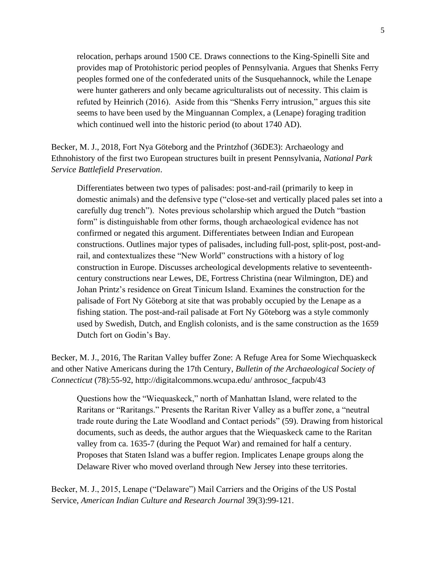relocation, perhaps around 1500 CE. Draws connections to the King-Spinelli Site and provides map of Protohistoric period peoples of Pennsylvania. Argues that Shenks Ferry peoples formed one of the confederated units of the Susquehannock, while the Lenape were hunter gatherers and only became agriculturalists out of necessity. This claim is refuted by Heinrich (2016). Aside from this "Shenks Ferry intrusion," argues this site seems to have been used by the Minguannan Complex, a (Lenape) foraging tradition which continued well into the historic period (to about 1740 AD).

Becker, M. J., 2018, Fort Nya Göteborg and the Printzhof (36DE3): Archaeology and Ethnohistory of the first two European structures built in present Pennsylvania, *National Park Service Battlefield Preservation*.

Differentiates between two types of palisades: post-and-rail (primarily to keep in domestic animals) and the defensive type ("close-set and vertically placed pales set into a carefully dug trench"). Notes previous scholarship which argued the Dutch "bastion form" is distinguishable from other forms, though archaeological evidence has not confirmed or negated this argument. Differentiates between Indian and European constructions. Outlines major types of palisades, including full-post, split-post, post-andrail, and contextualizes these "New World" constructions with a history of log construction in Europe. Discusses archeological developments relative to seventeenthcentury constructions near Lewes, DE, Fortress Christina (near Wilmington, DE) and Johan Printz's residence on Great Tinicum Island. Examines the construction for the palisade of Fort Ny Göteborg at site that was probably occupied by the Lenape as a fishing station. The post-and-rail palisade at Fort Ny Göteborg was a style commonly used by Swedish, Dutch, and English colonists, and is the same construction as the 1659 Dutch fort on Godin's Bay.

Becker, M. J., 2016, The Raritan Valley buffer Zone: A Refuge Area for Some Wiechquaskeck and other Native Americans during the 17th Century, *Bulletin of the Archaeological Society of Connecticut* (78):55-92, http://digitalcommons.wcupa.edu/ anthrosoc\_facpub/43

Questions how the "Wiequaskeck," north of Manhattan Island, were related to the Raritans or "Raritangs." Presents the Raritan River Valley as a buffer zone, a "neutral trade route during the Late Woodland and Contact periods" (59). Drawing from historical documents, such as deeds, the author argues that the Wiequaskeck came to the Raritan valley from ca. 1635-7 (during the Pequot War) and remained for half a century. Proposes that Staten Island was a buffer region. Implicates Lenape groups along the Delaware River who moved overland through New Jersey into these territories.

Becker, M. J., 2015, Lenape ("Delaware") Mail Carriers and the Origins of the US Postal Service, *American Indian Culture and Research Journal* 39(3):99-121.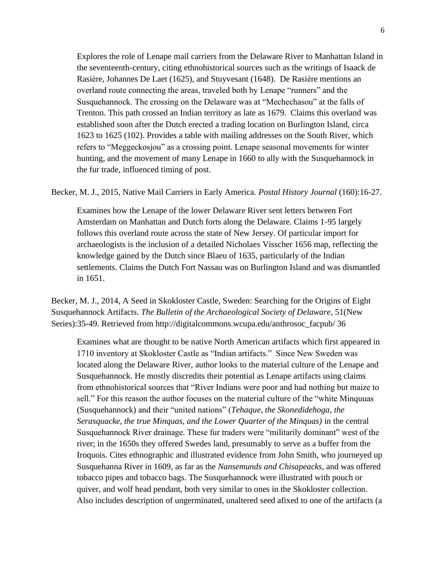Explores the role of Lenape mail carriers from the Delaware River to Manhattan Island in the seventeenth-century, citing ethnohistorical sources such as the writings of Isaack de Rasière, Johannes De Laet (1625), and Stuyvesant (1648). De Rasière mentions an overland route connecting the areas, traveled both by Lenape "runners" and the Susquehannock. The crossing on the Delaware was at "Mechechasou" at the falls of Trenton. This path crossed an Indian territory as late as 1679. Claims this overland was established soon after the Dutch erected a trading location on Burlington Island, circa 1623 to 1625 (102). Provides a table with mailing addresses on the South River, which refers to "Meggeckosjou" as a crossing point. Lenape seasonal movements for winter hunting, and the movement of many Lenape in 1660 to ally with the Susquehannock in the fur trade, influenced timing of post.

#### Becker, M. J., 2015, Native Mail Carriers in Early America. *Postal History Journal* (160):16-27.

Examines how the Lenape of the lower Delaware River sent letters between Fort Amsterdam on Manhattan and Dutch forts along the Delaware. Claims 1-95 largely follows this overland route across the state of New Jersey. Of particular import for archaeologists is the inclusion of a detailed Nicholaes Visscher 1656 map, reflecting the knowledge gained by the Dutch since Blaeu of 1635, particularly of the Indian settlements. Claims the Dutch Fort Nassau was on Burlington Island and was dismantled in 1651.

Becker, M. J., 2014, A Seed in Skokloster Castle, Sweden: Searching for the Origins of Eight Susquehannock Artifacts. *The Bulletin of the Archaeological Society of Delaware*, 51(New Series):35-49. Retrieved from http://digitalcommons.wcupa.edu/anthrosoc\_facpub/ 36

Examines what are thought to be native North American artifacts which first appeared in 1710 inventory at Skokloster Castle as "Indian artifacts." Since New Sweden was located along the Delaware River, author looks to the material culture of the Lenape and Susquehannock. He mostly discredits their potential as Lenape artifacts using claims from ethnohistorical sources that "River Indians were poor and had nothing but maize to sell." For this reason the author focuses on the material culture of the "white Minquuas (Susquehannock) and their "united nations" (*Tehaque, the Skonedidehoga, the Serasquacke, the true Minquas, and the Lower Quarter of the Minquas)* in the central Susquehannock River drainage. These fur traders were "militarily dominant" west of the river; in the 1650s they offered Swedes land, presumably to serve as a buffer from the Iroquois. Cites ethnographic and illustrated evidence from John Smith, who journeyed up Susquehanna River in 1609, as far as the *Nansemunds and Chisapeacks,* and was offered tobacco pipes and tobacco bags. The Susquehannock were illustrated with pouch or quiver, and wolf head pendant, both very similar to ones in the Skokloster collection. Also includes description of ungerminated, unaltered seed afixed to one of the artifacts (a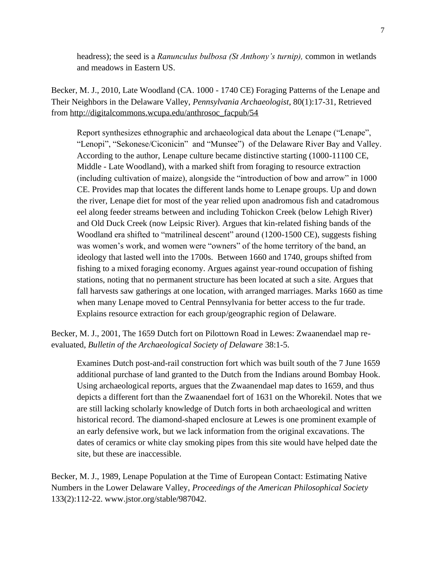headress); the seed is a *Ranunculus bulbosa (St Anthony's turnip),* common in wetlands and meadows in Eastern US.

Becker, M. J., 2010, Late Woodland (CA. 1000 - 1740 CE) Foraging Patterns of the Lenape and Their Neighbors in the Delaware Valley, *Pennsylvania Archaeologist*, 80(1):17-31, Retrieved from [http://digitalcommons.wcupa.edu/anthrosoc\\_facpub/54](http://digitalcommons.wcupa.edu/anthrosoc_facpub/54)

Report synthesizes ethnographic and archaeological data about the Lenape ("Lenape", "Lenopi", "Sekonese/Ciconicin" and "Munsee") of the Delaware River Bay and Valley. According to the author, Lenape culture became distinctive starting (1000-11100 CE, Middle - Late Woodland), with a marked shift from foraging to resource extraction (including cultivation of maize), alongside the "introduction of bow and arrow" in 1000 CE. Provides map that locates the different lands home to Lenape groups. Up and down the river, Lenape diet for most of the year relied upon anadromous fish and catadromous eel along feeder streams between and including Tohickon Creek (below Lehigh River) and Old Duck Creek (now Leipsic River). Argues that kin-related fishing bands of the Woodland era shifted to "matrilineal descent" around (1200-1500 CE), suggests fishing was women's work, and women were "owners" of the home territory of the band, an ideology that lasted well into the 1700s. Between 1660 and 1740, groups shifted from fishing to a mixed foraging economy. Argues against year-round occupation of fishing stations, noting that no permanent structure has been located at such a site. Argues that fall harvests saw gatherings at one location, with arranged marriages. Marks 1660 as time when many Lenape moved to Central Pennsylvania for better access to the fur trade. Explains resource extraction for each group/geographic region of Delaware.

Becker, M. J., 2001, The 1659 Dutch fort on Pilottown Road in Lewes: Zwaanendael map reevaluated, *Bulletin of the Archaeological Society of Delaware* 38:1-5.

Examines Dutch post-and-rail construction fort which was built south of the 7 June 1659 additional purchase of land granted to the Dutch from the Indians around Bombay Hook. Using archaeological reports, argues that the Zwaanendael map dates to 1659, and thus depicts a different fort than the Zwaanendael fort of 1631 on the Whorekil. Notes that we are still lacking scholarly knowledge of Dutch forts in both archaeological and written historical record. The diamond-shaped enclosure at Lewes is one prominent example of an early defensive work, but we lack information from the original excavations. The dates of ceramics or white clay smoking pipes from this site would have helped date the site, but these are inaccessible.

Becker, M. J., 1989, Lenape Population at the Time of European Contact: Estimating Native Numbers in the Lower Delaware Valley, *Proceedings of the American Philosophical Society* 133(2):112-22. www.jstor.org/stable/987042.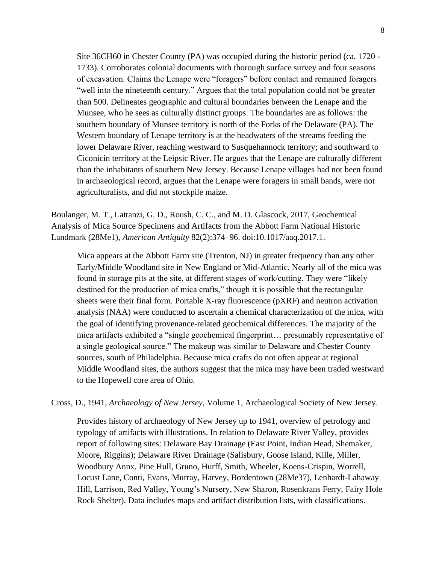Site 36CH60 in Chester County (PA) was occupied during the historic period (ca. 1720 - 1733). Corroborates colonial documents with thorough surface survey and four seasons of excavation. Claims the Lenape were "foragers" before contact and remained foragers "well into the nineteenth century." Argues that the total population could not be greater than 500. Delineates geographic and cultural boundaries between the Lenape and the Munsee, who he sees as culturally distinct groups. The boundaries are as follows: the southern boundary of Munsee territory is north of the Forks of the Delaware (PA). The Western boundary of Lenape territory is at the headwaters of the streams feeding the lower Delaware River, reaching westward to Susquehannock territory; and southward to Ciconicin territory at the Leipsic River. He argues that the Lenape are culturally different than the inhabitants of southern New Jersey. Because Lenape villages had not been found in archaeological record, argues that the Lenape were foragers in small bands, were not agriculturalists, and did not stockpile maize.

Boulanger, M. T., Lattanzi, G. D., Roush, C. C., and M. D. Glascock, 2017, Geochemical Analysis of Mica Source Specimens and Artifacts from the Abbott Farm National Historic Landmark (28Me1), *American Antiquity* 82(2):374–96. doi:10.1017/aaq.2017.1.

Mica appears at the Abbott Farm site (Trenton, NJ) in greater frequency than any other Early/Middle Woodland site in New England or Mid-Atlantic. Nearly all of the mica was found in storage pits at the site, at different stages of work/cutting. They were "likely destined for the production of mica crafts," though it is possible that the rectangular sheets were their final form. Portable X-ray fluorescence (pXRF) and neutron activation analysis (NAA) were conducted to ascertain a chemical characterization of the mica, with the goal of identifying provenance-related geochemical differences. The majority of the mica artifacts exhibited a "single geochemical fingerprint… presumably representative of a single geological source." The makeup was similar to Delaware and Chester County sources, south of Philadelphia. Because mica crafts do not often appear at regional Middle Woodland sites, the authors suggest that the mica may have been traded westward to the Hopewell core area of Ohio.

Cross, D., 1941, *Archaeology of New Jersey*, Volume 1, Archaeological Society of New Jersey.

Provides history of archaeology of New Jersey up to 1941, overview of petrology and typology of artifacts with illustrations. In relation to Delaware River Valley, provides report of following sites: Delaware Bay Drainage (East Point, Indian Head, Shemaker, Moore, Riggins); Delaware River Drainage (Salisbury, Goose Island, Kille, Miller, Woodbury Annx, Pine Hull, Gruno, Hurff, Smith, Wheeler, Koens-Crispin, Worrell, Locust Lane, Conti, Evans, Murray, Harvey, Bordentown (28Me37), Lenhardt-Lahaway Hill, Larrison, Red Valley, Young's Nursery, New Sharon, Rosenkrans Ferry, Fairy Hole Rock Shelter). Data includes maps and artifact distribution lists, with classifications.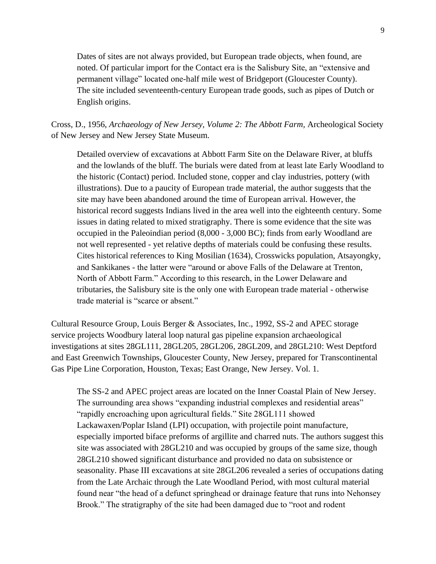Dates of sites are not always provided, but European trade objects, when found, are noted. Of particular import for the Contact era is the Salisbury Site, an "extensive and permanent village" located one-half mile west of Bridgeport (Gloucester County). The site included seventeenth-century European trade goods, such as pipes of Dutch or English origins.

Cross, D., 1956, *Archaeology of New Jersey, Volume 2: The Abbott Farm,* Archeological Society of New Jersey and New Jersey State Museum.

Detailed overview of excavations at Abbott Farm Site on the Delaware River, at bluffs and the lowlands of the bluff. The burials were dated from at least late Early Woodland to the historic (Contact) period. Included stone, copper and clay industries, pottery (with illustrations). Due to a paucity of European trade material, the author suggests that the site may have been abandoned around the time of European arrival. However, the historical record suggests Indians lived in the area well into the eighteenth century. Some issues in dating related to mixed stratigraphy. There is some evidence that the site was occupied in the Paleoindian period (8,000 - 3,000 BC); finds from early Woodland are not well represented - yet relative depths of materials could be confusing these results. Cites historical references to King Mosilian (1634), Crosswicks population, Atsayongky, and Sankikanes - the latter were "around or above Falls of the Delaware at Trenton, North of Abbott Farm." According to this research, in the Lower Delaware and tributaries, the Salisbury site is the only one with European trade material - otherwise trade material is "scarce or absent."

Cultural Resource Group, Louis Berger & Associates, Inc., 1992, SS-2 and APEC storage service projects Woodbury lateral loop natural gas pipeline expansion archaeological investigations at sites 28GL111, 28GL205, 28GL206, 28GL209, and 28GL210: West Deptford and East Greenwich Townships, Gloucester County, New Jersey, prepared for Transcontinental Gas Pipe Line Corporation, Houston, Texas; East Orange, New Jersey. Vol. 1.

The SS-2 and APEC project areas are located on the Inner Coastal Plain of New Jersey. The surrounding area shows "expanding industrial complexes and residential areas" "rapidly encroaching upon agricultural fields." Site 28GL111 showed Lackawaxen/Poplar Island (LPI) occupation, with projectile point manufacture, especially imported biface preforms of argillite and charred nuts. The authors suggest this site was associated with 28GL210 and was occupied by groups of the same size, though 28GL210 showed significant disturbance and provided no data on subsistence or seasonality. Phase III excavations at site 28GL206 revealed a series of occupations dating from the Late Archaic through the Late Woodland Period, with most cultural material found near "the head of a defunct springhead or drainage feature that runs into Nehonsey Brook." The stratigraphy of the site had been damaged due to "root and rodent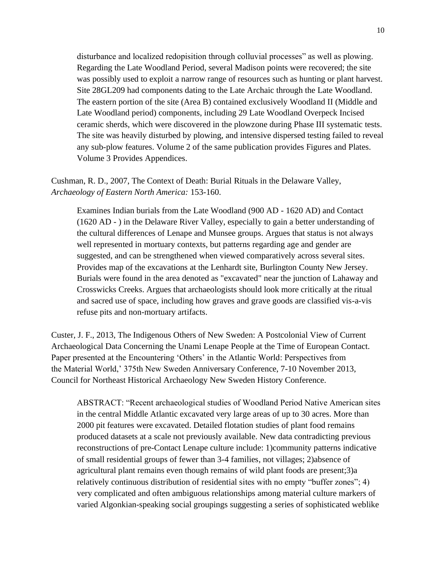disturbance and localized redopisition through colluvial processes" as well as plowing. Regarding the Late Woodland Period, several Madison points were recovered; the site was possibly used to exploit a narrow range of resources such as hunting or plant harvest. Site 28GL209 had components dating to the Late Archaic through the Late Woodland. The eastern portion of the site (Area B) contained exclusively Woodland II (Middle and Late Woodland period) components, including 29 Late Woodland Overpeck Incised ceramic sherds, which were discovered in the plowzone during Phase III systematic tests. The site was heavily disturbed by plowing, and intensive dispersed testing failed to reveal any sub-plow features. Volume 2 of the same publication provides Figures and Plates. Volume 3 Provides Appendices.

Cushman, R. D., 2007, The Context of Death: Burial Rituals in the Delaware Valley, *Archaeology of Eastern North America:* 153-160.

Examines Indian burials from the Late Woodland (900 AD - 1620 AD) and Contact (1620 AD - ) in the Delaware River Valley, especially to gain a better understanding of the cultural differences of Lenape and Munsee groups. Argues that status is not always well represented in mortuary contexts, but patterns regarding age and gender are suggested, and can be strengthened when viewed comparatively across several sites. Provides map of the excavations at the Lenhardt site, Burlington County New Jersey. Burials were found in the area denoted as "excavated" near the junction of Lahaway and Crosswicks Creeks. Argues that archaeologists should look more critically at the ritual and sacred use of space, including how graves and grave goods are classified vis-a-vis refuse pits and non-mortuary artifacts.

Custer, J. F., 2013, The Indigenous Others of New Sweden: A Postcolonial View of Current Archaeological Data Concerning the Unami Lenape People at the Time of European Contact. Paper presented at the Encountering 'Others' in the Atlantic World: Perspectives from the Material World,' 375th New Sweden Anniversary Conference, 7-10 November 2013, Council for Northeast Historical Archaeology New Sweden History Conference.

ABSTRACT: "Recent archaeological studies of Woodland Period Native American sites in the central Middle Atlantic excavated very large areas of up to 30 acres. More than 2000 pit features were excavated. Detailed flotation studies of plant food remains produced datasets at a scale not previously available. New data contradicting previous reconstructions of pre-Contact Lenape culture include: 1)community patterns indicative of small residential groups of fewer than 3-4 families, not villages; 2)absence of agricultural plant remains even though remains of wild plant foods are present;3)a relatively continuous distribution of residential sites with no empty "buffer zones"; 4) very complicated and often ambiguous relationships among material culture markers of varied Algonkian-speaking social groupings suggesting a series of sophisticated weblike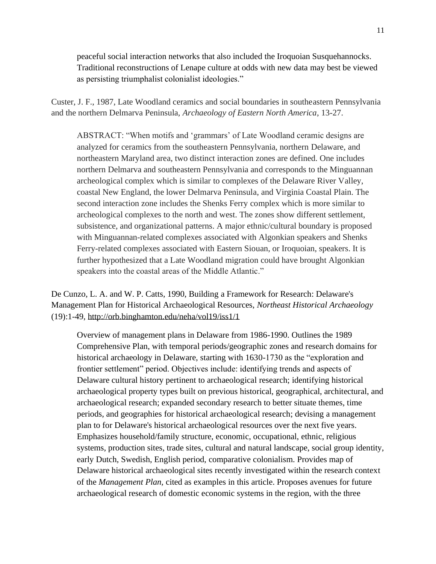peaceful social interaction networks that also included the Iroquoian Susquehannocks. Traditional reconstructions of Lenape culture at odds with new data may best be viewed as persisting triumphalist colonialist ideologies."

Custer, J. F., 1987, Late Woodland ceramics and social boundaries in southeastern Pennsylvania and the northern Delmarva Peninsula, *Archaeology of Eastern North America*, 13-27.

ABSTRACT: "When motifs and 'grammars' of Late Woodland ceramic designs are analyzed for ceramics from the southeastern Pennsylvania, northern Delaware, and northeastern Maryland area, two distinct interaction zones are defined. One includes northern Delmarva and southeastern Pennsylvania and corresponds to the Minguannan archeological complex which is similar to complexes of the Delaware River Valley, coastal New England, the lower Delmarva Peninsula, and Virginia Coastal Plain. The second interaction zone includes the Shenks Ferry complex which is more similar to archeological complexes to the north and west. The zones show different settlement, subsistence, and organizational patterns. A major ethnic/cultural boundary is proposed with Minguannan-related complexes associated with Algonkian speakers and Shenks Ferry-related complexes associated with Eastern Siouan, or Iroquoian, speakers. It is further hypothesized that a Late Woodland migration could have brought Algonkian speakers into the coastal areas of the Middle Atlantic."

De Cunzo, L. A. and W. P. Catts, 1990, Building a Framework for Research: Delaware's Management Plan for Historical Archaeological Resources, *Northeast Historical Archaeology* (19):1-49,<http://orb.binghamton.edu/neha/vol19/iss1/1>

Overview of management plans in Delaware from 1986-1990. Outlines the 1989 Comprehensive Plan, with temporal periods/geographic zones and research domains for historical archaeology in Delaware, starting with 1630-1730 as the "exploration and frontier settlement" period. Objectives include: identifying trends and aspects of Delaware cultural history pertinent to archaeological research; identifying historical archaeological property types built on previous historical, geographical, architectural, and archaeological research; expanded secondary research to better situate themes, time periods, and geographies for historical archaeological research; devising a management plan to for Delaware's historical archaeological resources over the next five years. Emphasizes household/family structure, economic, occupational, ethnic, religious systems, production sites, trade sites, cultural and natural landscape, social group identity, early Dutch, Swedish, English period, comparative colonialism. Provides map of Delaware historical archaeological sites recently investigated within the research context of the *Management Plan,* cited as examples in this article. Proposes avenues for future archaeological research of domestic economic systems in the region, with the three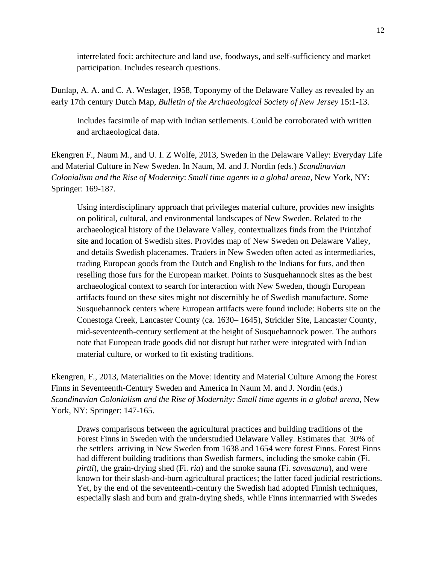interrelated foci: architecture and land use, foodways, and self-sufficiency and market participation. Includes research questions.

Dunlap, A. A. and C. A. Weslager, 1958, Toponymy of the Delaware Valley as revealed by an early 17th century Dutch Map, *Bulletin of the Archaeological Society of New Jersey* 15:1-13.

Includes facsimile of map with Indian settlements. Could be corroborated with written and archaeological data.

Ekengren F., Naum M., and U. I. Z Wolfe, 2013, Sweden in the Delaware Valley: Everyday Life and Material Culture in New Sweden. In Naum, M. and J. Nordin (eds.) *Scandinavian Colonialism and the Rise of Modernity*: *Small time agents in a global arena*, New York, NY: Springer: 169-187.

Using interdisciplinary approach that privileges material culture, provides new insights on political, cultural, and environmental landscapes of New Sweden. Related to the archaeological history of the Delaware Valley, contextualizes finds from the Printzhof site and location of Swedish sites. Provides map of New Sweden on Delaware Valley, and details Swedish placenames. Traders in New Sweden often acted as intermediaries, trading European goods from the Dutch and English to the Indians for furs, and then reselling those furs for the European market. Points to Susquehannock sites as the best archaeological context to search for interaction with New Sweden, though European artifacts found on these sites might not discernibly be of Swedish manufacture. Some Susquehannock centers where European artifacts were found include: Roberts site on the Conestoga Creek, Lancaster County (ca. 1630– 1645), Strickler Site, Lancaster County, mid-seventeenth-century settlement at the height of Susquehannock power. The authors note that European trade goods did not disrupt but rather were integrated with Indian material culture, or worked to fit existing traditions.

Ekengren, F., 2013, Materialities on the Move: Identity and Material Culture Among the Forest Finns in Seventeenth-Century Sweden and America In Naum M. and J. Nordin (eds.) *Scandinavian Colonialism and the Rise of Modernity: Small time agents in a global arena*, New York, NY: Springer: 147-165.

Draws comparisons between the agricultural practices and building traditions of the Forest Finns in Sweden with the understudied Delaware Valley. Estimates that 30% of the settlers arriving in New Sweden from 1638 and 1654 were forest Finns. Forest Finns had different building traditions than Swedish farmers, including the smoke cabin (Fi. *pirtti*), the grain-drying shed (Fi. *ria*) and the smoke sauna (Fi. *savusauna*), and were known for their slash-and-burn agricultural practices; the latter faced judicial restrictions. Yet, by the end of the seventeenth-century the Swedish had adopted Finnish techniques, especially slash and burn and grain-drying sheds, while Finns intermarried with Swedes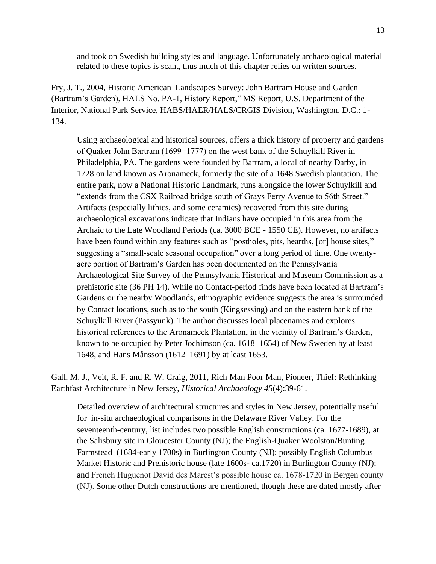and took on Swedish building styles and language. Unfortunately archaeological material related to these topics is scant, thus much of this chapter relies on written sources.

Fry, J. T., 2004, Historic American Landscapes Survey: John Bartram House and Garden (Bartram's Garden), HALS No. PA-1, History Report," MS Report, U.S. Department of the Interior, National Park Service, HABS/HAER/HALS/CRGIS Division, Washington, D.C.: 1- 134.

Using archaeological and historical sources, offers a thick history of property and gardens of Quaker John Bartram (1699−1777) on the west bank of the Schuylkill River in Philadelphia, PA. The gardens were founded by Bartram, a local of nearby Darby, in 1728 on land known as Aronameck, formerly the site of a 1648 Swedish plantation. The entire park, now a National Historic Landmark, runs alongside the lower Schuylkill and "extends from the CSX Railroad bridge south of Grays Ferry Avenue to 56th Street." Artifacts (especially lithics, and some ceramics) recovered from this site during archaeological excavations indicate that Indians have occupied in this area from the Archaic to the Late Woodland Periods (ca. 3000 BCE - 1550 CE). However, no artifacts have been found within any features such as "postholes, pits, hearths, [or] house sites," suggesting a "small-scale seasonal occupation" over a long period of time. One twentyacre portion of Bartram's Garden has been documented on the Pennsylvania Archaeological Site Survey of the Pennsylvania Historical and Museum Commission as a prehistoric site (36 PH 14). While no Contact-period finds have been located at Bartram's Gardens or the nearby Woodlands, ethnographic evidence suggests the area is surrounded by Contact locations, such as to the south (Kingsessing) and on the eastern bank of the Schuylkill River (Passyunk). The author discusses local placenames and explores historical references to the Aronameck Plantation, in the vicinity of Bartram's Garden, known to be occupied by Peter Jochimson (ca. 1618–1654) of New Sweden by at least 1648, and Hans Månsson (1612–1691) by at least 1653.

Gall, M. J., Veit, R. F. and R. W. Craig, 2011, Rich Man Poor Man, Pioneer, Thief: Rethinking Earthfast Architecture in New Jersey, *Historical Archaeology 45*(4):39-61.

Detailed overview of architectural structures and styles in New Jersey, potentially useful for in-situ archaeological comparisons in the Delaware River Valley. For the seventeenth-century, list includes two possible English constructions (ca. 1677-1689), at the Salisbury site in Gloucester County (NJ); the English-Quaker Woolston/Bunting Farmstead (1684-early 1700s) in Burlington County (NJ); possibly English Columbus Market Historic and Prehistoric house (late 1600s- ca.1720) in Burlington County (NJ); and French Huguenot David des Marest's possible house ca. 1678-1720 in Bergen county (NJ). Some other Dutch constructions are mentioned, though these are dated mostly after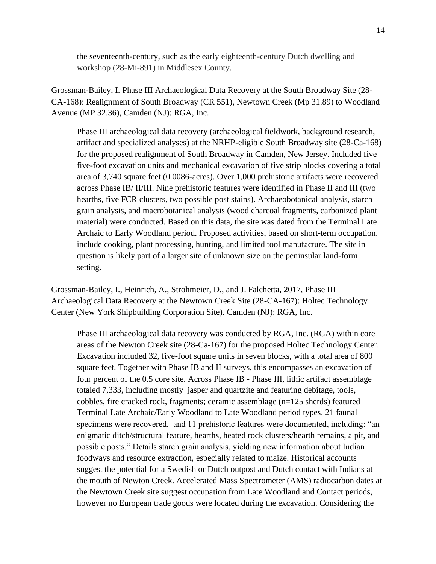the seventeenth-century, such as the early eighteenth-century Dutch dwelling and workshop (28-Mi-891) in Middlesex County.

Grossman-Bailey, I. Phase III Archaeological Data Recovery at the South Broadway Site (28- CA-168): Realignment of South Broadway (CR 551), Newtown Creek (Mp 31.89) to Woodland Avenue (MP 32.36), Camden (NJ): RGA, Inc.

Phase III archaeological data recovery (archaeological fieldwork, background research, artifact and specialized analyses) at the NRHP-eligible South Broadway site (28-Ca-168) for the proposed realignment of South Broadway in Camden, New Jersey. Included five five-foot excavation units and mechanical excavation of five strip blocks covering a total area of 3,740 square feet (0.0086-acres). Over 1,000 prehistoric artifacts were recovered across Phase IB/ II/III. Nine prehistoric features were identified in Phase II and III (two hearths, five FCR clusters, two possible post stains). Archaeobotanical analysis, starch grain analysis, and macrobotanical analysis (wood charcoal fragments, carbonized plant material) were conducted. Based on this data, the site was dated from the Terminal Late Archaic to Early Woodland period. Proposed activities, based on short-term occupation, include cooking, plant processing, hunting, and limited tool manufacture. The site in question is likely part of a larger site of unknown size on the peninsular land-form setting.

Grossman-Bailey, I., Heinrich, A., Strohmeier, D., and J. Falchetta, 2017, Phase III Archaeological Data Recovery at the Newtown Creek Site (28-CA-167): Holtec Technology Center (New York Shipbuilding Corporation Site). Camden (NJ): RGA, Inc.

Phase III archaeological data recovery was conducted by RGA, Inc. (RGA) within core areas of the Newton Creek site (28-Ca-167) for the proposed Holtec Technology Center. Excavation included 32, five-foot square units in seven blocks, with a total area of 800 square feet. Together with Phase IB and II surveys, this encompasses an excavation of four percent of the 0.5 core site. Across Phase IB - Phase III, lithic artifact assemblage totaled 7,333, including mostly jasper and quartzite and featuring debitage, tools, cobbles, fire cracked rock, fragments; ceramic assemblage (n=125 sherds) featured Terminal Late Archaic/Early Woodland to Late Woodland period types. 21 faunal specimens were recovered, and 11 prehistoric features were documented, including: "an enigmatic ditch/structural feature, hearths, heated rock clusters/hearth remains, a pit, and possible posts." Details starch grain analysis, yielding new information about Indian foodways and resource extraction, especially related to maize. Historical accounts suggest the potential for a Swedish or Dutch outpost and Dutch contact with Indians at the mouth of Newton Creek. Accelerated Mass Spectrometer (AMS) radiocarbon dates at the Newtown Creek site suggest occupation from Late Woodland and Contact periods, however no European trade goods were located during the excavation. Considering the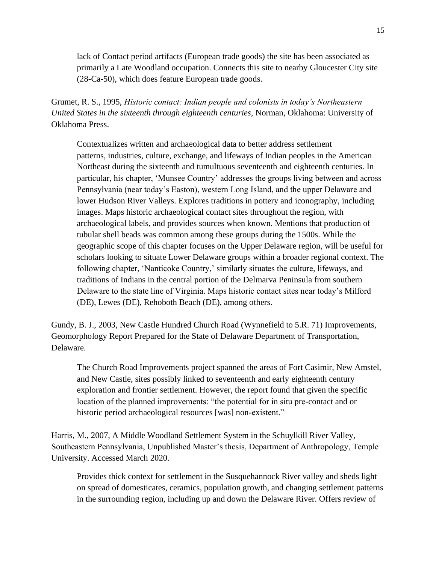lack of Contact period artifacts (European trade goods) the site has been associated as primarily a Late Woodland occupation. Connects this site to nearby Gloucester City site (28-Ca-50), which does feature European trade goods.

Grumet, R. S., 1995, *Historic contact: Indian people and colonists in today's Northeastern United States in the sixteenth through eighteenth centuries,* Norman, Oklahoma: University of Oklahoma Press.

Contextualizes written and archaeological data to better address settlement patterns, industries, culture, exchange, and lifeways of Indian peoples in the American Northeast during the sixteenth and tumultuous seventeenth and eighteenth centuries. In particular, his chapter, 'Munsee Country' addresses the groups living between and across Pennsylvania (near today's Easton), western Long Island, and the upper Delaware and lower Hudson River Valleys. Explores traditions in pottery and iconography, including images. Maps historic archaeological contact sites throughout the region, with archaeological labels, and provides sources when known. Mentions that production of tubular shell beads was common among these groups during the 1500s. While the geographic scope of this chapter focuses on the Upper Delaware region, will be useful for scholars looking to situate Lower Delaware groups within a broader regional context. The following chapter, 'Nanticoke Country,' similarly situates the culture, lifeways, and traditions of Indians in the central portion of the Delmarva Peninsula from southern Delaware to the state line of Virginia. Maps historic contact sites near today's Milford (DE), Lewes (DE), Rehoboth Beach (DE), among others.

Gundy, B. J., 2003, New Castle Hundred Church Road (Wynnefield to 5.R. 71) Improvements, Geomorphology Report Prepared for the State of Delaware Department of Transportation, Delaware.

The Church Road Improvements project spanned the areas of Fort Casimir, New Amstel, and New Castle, sites possibly linked to seventeenth and early eighteenth century exploration and frontier settlement. However, the report found that given the specific location of the planned improvements: "the potential for in situ pre-contact and or historic period archaeological resources [was] non-existent."

Harris, M., 2007, A Middle Woodland Settlement System in the Schuylkill River Valley, Southeastern Pennsylvania, Unpublished Master's thesis, Department of Anthropology, Temple University. Accessed March 2020.

Provides thick context for settlement in the Susquehannock River valley and sheds light on spread of domesticates, ceramics, population growth, and changing settlement patterns in the surrounding region, including up and down the Delaware River. Offers review of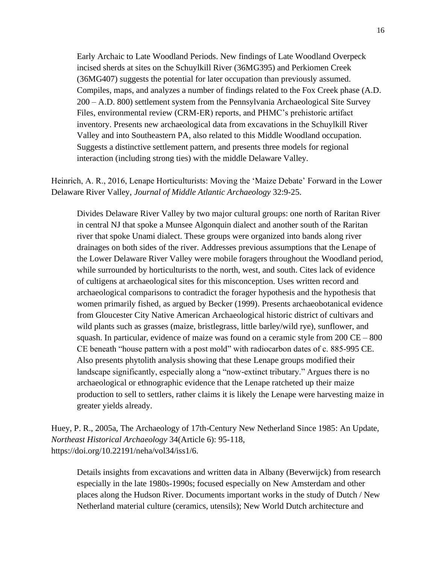Early Archaic to Late Woodland Periods. New findings of Late Woodland Overpeck incised sherds at sites on the Schuylkill River (36MG395) and Perkiomen Creek (36MG407) suggests the potential for later occupation than previously assumed. Compiles, maps, and analyzes a number of findings related to the Fox Creek phase (A.D. 200 – A.D. 800) settlement system from the Pennsylvania Archaeological Site Survey Files, environmental review (CRM-ER) reports, and PHMC's prehistoric artifact inventory. Presents new archaeological data from excavations in the Schuylkill River Valley and into Southeastern PA, also related to this Middle Woodland occupation. Suggests a distinctive settlement pattern, and presents three models for regional interaction (including strong ties) with the middle Delaware Valley.

Heinrich, A. R., 2016, Lenape Horticulturists: Moving the 'Maize Debate' Forward in the Lower Delaware River Valley, *Journal of Middle Atlantic Archaeology* 32:9-25.

Divides Delaware River Valley by two major cultural groups: one north of Raritan River in central NJ that spoke a Munsee Algonquin dialect and another south of the Raritan river that spoke Unami dialect. These groups were organized into bands along river drainages on both sides of the river. Addresses previous assumptions that the Lenape of the Lower Delaware River Valley were mobile foragers throughout the Woodland period, while surrounded by horticulturists to the north, west, and south. Cites lack of evidence of cultigens at archaeological sites for this misconception. Uses written record and archaeological comparisons to contradict the forager hypothesis and the hypothesis that women primarily fished, as argued by Becker (1999). Presents archaeobotanical evidence from Gloucester City Native American Archaeological historic district of cultivars and wild plants such as grasses (maize, bristlegrass, little barley/wild rye), sunflower, and squash. In particular, evidence of maize was found on a ceramic style from  $200 \text{ CE} - 800$ CE beneath "house pattern with a post mold" with radiocarbon dates of c. 885-995 CE. Also presents phytolith analysis showing that these Lenape groups modified their landscape significantly, especially along a "now-extinct tributary." Argues there is no archaeological or ethnographic evidence that the Lenape ratcheted up their maize production to sell to settlers, rather claims it is likely the Lenape were harvesting maize in greater yields already.

Huey, P. R., 2005a, The Archaeology of 17th-Century New Netherland Since 1985: An Update, *Northeast Historical Archaeology* 34(Article 6): 95-118, https://doi.org/10.22191/neha/vol34/iss1/6.

Details insights from excavations and written data in Albany (Beverwijck) from research especially in the late 1980s-1990s; focused especially on New Amsterdam and other places along the Hudson River. Documents important works in the study of Dutch / New Netherland material culture (ceramics, utensils); New World Dutch architecture and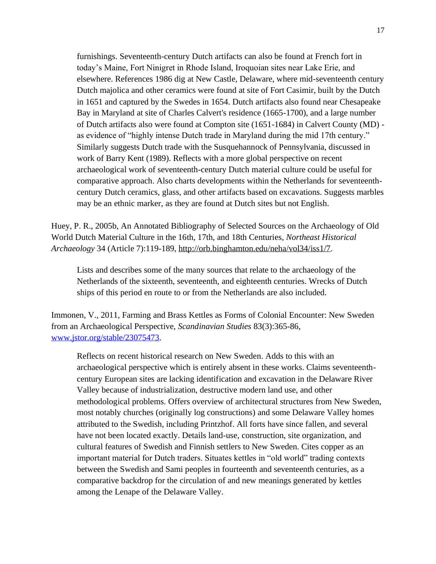furnishings. Seventeenth-century Dutch artifacts can also be found at French fort in today's Maine, Fort Ninigret in Rhode Island, Iroquoian sites near Lake Erie, and elsewhere. References 1986 dig at New Castle, Delaware, where mid-seventeenth century Dutch majolica and other ceramics were found at site of Fort Casimir, built by the Dutch in 1651 and captured by the Swedes in 1654. Dutch artifacts also found near Chesapeake Bay in Maryland at site of Charles Calvert's residence (1665-1700), and a large number of Dutch artifacts also were found at Compton site (1651-1684) in Calvert County (MD) as evidence of "highly intense Dutch trade in Maryland during the mid 17th century." Similarly suggests Dutch trade with the Susquehannock of Pennsylvania, discussed in work of Barry Kent (1989). Reflects with a more global perspective on recent archaeological work of seventeenth-century Dutch material culture could be useful for comparative approach. Also charts developments within the Netherlands for seventeenthcentury Dutch ceramics, glass, and other artifacts based on excavations. Suggests marbles may be an ethnic marker, as they are found at Dutch sites but not English.

Huey, P. R., 2005b, An Annotated Bibliography of Selected Sources on the Archaeology of Old World Dutch Material Culture in the 16th, 17th, and 18th Centuries, *Northeast Historical Archaeology* 34 (Article 7):119-189, [http://orb.binghamton.edu/neha/vol34/iss1/7.](http://orb.binghamton.edu/neha/vol34/iss1/7)

Lists and describes some of the many sources that relate to the archaeology of the Netherlands of the sixteenth, seventeenth, and eighteenth centuries. Wrecks of Dutch ships of this period en route to or from the Netherlands are also included.

Immonen, V., 2011, Farming and Brass Kettles as Forms of Colonial Encounter: New Sweden from an Archaeological Perspective, *Scandinavian Studies* 83(3):365-86, [www.jstor.org/stable/23075473.](http://www.jstor.org/stable/23075473)

Reflects on recent historical research on New Sweden. Adds to this with an archaeological perspective which is entirely absent in these works. Claims seventeenthcentury European sites are lacking identification and excavation in the Delaware River Valley because of industrialization, destructive modern land use, and other methodological problems. Offers overview of architectural structures from New Sweden, most notably churches (originally log constructions) and some Delaware Valley homes attributed to the Swedish, including Printzhof. All forts have since fallen, and several have not been located exactly. Details land-use, construction, site organization, and cultural features of Swedish and Finnish settlers to New Sweden. Cites copper as an important material for Dutch traders. Situates kettles in "old world" trading contexts between the Swedish and Sami peoples in fourteenth and seventeenth centuries, as a comparative backdrop for the circulation of and new meanings generated by kettles among the Lenape of the Delaware Valley.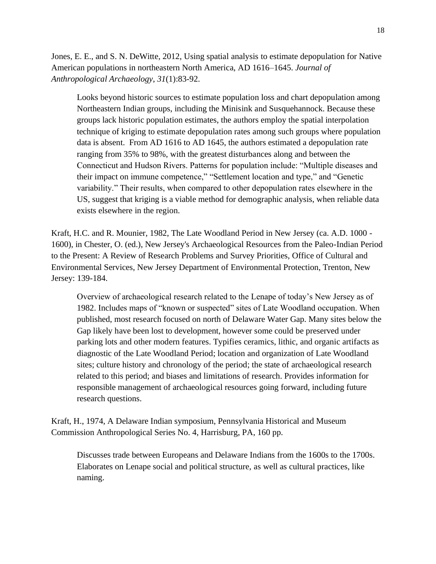Jones, E. E., and S. N. DeWitte, 2012, Using spatial analysis to estimate depopulation for Native American populations in northeastern North America, AD 1616–1645. *Journal of Anthropological Archaeology*, *31*(1):83-92.

Looks beyond historic sources to estimate population loss and chart depopulation among Northeastern Indian groups, including the Minisink and Susquehannock. Because these groups lack historic population estimates, the authors employ the spatial interpolation technique of kriging to estimate depopulation rates among such groups where population data is absent. From AD 1616 to AD 1645, the authors estimated a depopulation rate ranging from 35% to 98%, with the greatest disturbances along and between the Connecticut and Hudson Rivers. Patterns for population include: "Multiple diseases and their impact on immune competence," "Settlement location and type," and "Genetic variability." Their results, when compared to other depopulation rates elsewhere in the US, suggest that kriging is a viable method for demographic analysis, when reliable data exists elsewhere in the region.

Kraft, H.C. and R. Mounier, 1982, The Late Woodland Period in New Jersey (ca. A.D. 1000 - 1600), in Chester, O. (ed.), New Jersey's Archaeological Resources from the Paleo-Indian Period to the Present: A Review of Research Problems and Survey Priorities, Office of Cultural and Environmental Services, New Jersey Department of Environmental Protection, Trenton, New Jersey: 139-184.

Overview of archaeological research related to the Lenape of today's New Jersey as of 1982. Includes maps of "known or suspected" sites of Late Woodland occupation. When published, most research focused on north of Delaware Water Gap. Many sites below the Gap likely have been lost to development, however some could be preserved under parking lots and other modern features. Typifies ceramics, lithic, and organic artifacts as diagnostic of the Late Woodland Period; location and organization of Late Woodland sites; culture history and chronology of the period; the state of archaeological research related to this period; and biases and limitations of research. Provides information for responsible management of archaeological resources going forward, including future research questions.

Kraft, H., 1974, A Delaware Indian symposium, Pennsylvania Historical and Museum Commission Anthropological Series No. 4, Harrisburg, PA, 160 pp.

Discusses trade between Europeans and Delaware Indians from the 1600s to the 1700s. Elaborates on Lenape social and political structure, as well as cultural practices, like naming.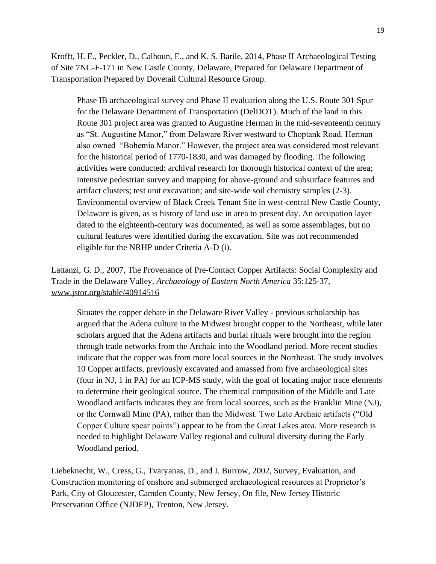Krofft, H. E., Peckler, D., Calhoun, E., and K. S. Barile, 2014, Phase II Archaeological Testing of Site 7NC-F-171 in New Castle County, Delaware, Prepared for Delaware Department of Transportation Prepared by Dovetail Cultural Resource Group.

Phase IB archaeological survey and Phase II evaluation along the U.S. Route 301 Spur for the Delaware Department of Transportation (DelDOT). Much of the land in this Route 301 project area was granted to Augustine Herman in the mid-seventeenth century as "St. Augustine Manor," from Delaware River westward to Choptank Road. Herman also owned "Bohemia Manor." However, the project area was considered most relevant for the historical period of 1770-1830, and was damaged by flooding. The following activities were conducted: archival research for thorough historical context of the area; intensive pedestrian survey and mapping for above-ground and subsurface features and artifact clusters; test unit excavation; and site-wide soil chemistry samples (2-3). Environmental overview of Black Creek Tenant Site in west-central New Castle County, Delaware is given, as is history of land use in area to present day. An occupation layer dated to the eighteenth-century was documented, as well as some assemblages, but no cultural features were identified during the excavation. Site was not recommended eligible for the NRHP under Criteria A-D (i).

Lattanzi, G. D., 2007, The Provenance of Pre-Contact Copper Artifacts: Social Complexity and Trade in the Delaware Valley, *Archaeology of Eastern North America* 35:125-37, [www.jstor.org/stable/40914516](http://www.jstor.org/stable/40914516)

Situates the copper debate in the Delaware River Valley - previous scholarship has argued that the Adena culture in the Midwest brought copper to the Northeast, while later scholars argued that the Adena artifacts and burial rituals were brought into the region through trade networks from the Archaic into the Woodland period. More recent studies indicate that the copper was from more local sources in the Northeast. The study involves 10 Copper artifacts, previously excavated and amassed from five archaeological sites (four in NJ, 1 in PA) for an ICP-MS study, with the goal of locating major trace elements to determine their geological source. The chemical composition of the Middle and Late Woodland artifacts indicates they are from local sources, such as the Franklin Mine (NJ), or the Cornwall Mine (PA), rather than the Midwest. Two Late Archaic artifacts ("Old Copper Culture spear points") appear to be from the Great Lakes area. More research is needed to highlight Delaware Valley regional and cultural diversity during the Early Woodland period.

Liebeknecht, W., Cress, G., Tvaryanas, D., and I. Burrow, 2002, Survey, Evaluation, and Construction monitoring of onshore and submerged archaeological resources at Proprietor's Park, City of Gloucester, Camden County, New Jersey, On file, New Jersey Historic Preservation Office (NJDEP), Trenton, New Jersey.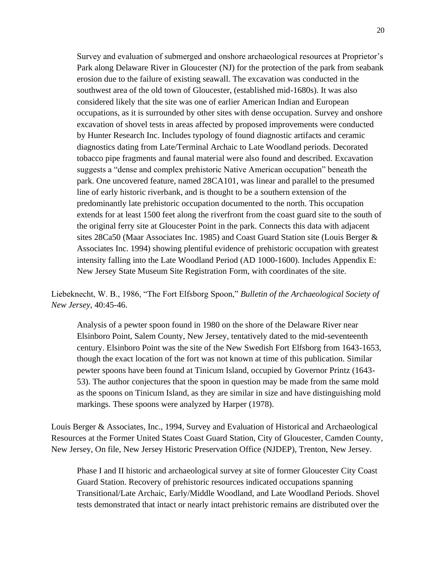Survey and evaluation of submerged and onshore archaeological resources at Proprietor's Park along Delaware River in Gloucester (NJ) for the protection of the park from seabank erosion due to the failure of existing seawall. The excavation was conducted in the southwest area of the old town of Gloucester, (established mid-1680s). It was also considered likely that the site was one of earlier American Indian and European occupations, as it is surrounded by other sites with dense occupation. Survey and onshore excavation of shovel tests in areas affected by proposed improvements were conducted by Hunter Research Inc. Includes typology of found diagnostic artifacts and ceramic diagnostics dating from Late/Terminal Archaic to Late Woodland periods. Decorated tobacco pipe fragments and faunal material were also found and described. Excavation suggests a "dense and complex prehistoric Native American occupation" beneath the park. One uncovered feature, named 28CA101, was linear and parallel to the presumed line of early historic riverbank, and is thought to be a southern extension of the predominantly late prehistoric occupation documented to the north. This occupation extends for at least 1500 feet along the riverfront from the coast guard site to the south of the original ferry site at Gloucester Point in the park. Connects this data with adjacent sites 28Ca50 (Maar Associates Inc. 1985) and Coast Guard Station site (Louis Berger & Associates Inc. 1994) showing plentiful evidence of prehistoric occupation with greatest intensity falling into the Late Woodland Period (AD 1000-1600). Includes Appendix E: New Jersey State Museum Site Registration Form, with coordinates of the site.

Liebeknecht, W. B., 1986, "The Fort Elfsborg Spoon," *Bulletin of the Archaeological Society of New Jersey*, 40:45-46.

Analysis of a pewter spoon found in 1980 on the shore of the Delaware River near Elsinboro Point, Salem County, New Jersey, tentatively dated to the mid-seventeenth century. Elsinboro Point was the site of the New Swedish Fort Elfsborg from 1643-1653, though the exact location of the fort was not known at time of this publication. Similar pewter spoons have been found at Tinicum Island, occupied by Governor Printz (1643- 53). The author conjectures that the spoon in question may be made from the same mold as the spoons on Tinicum Island, as they are similar in size and have distinguishing mold markings. These spoons were analyzed by Harper (1978).

Louis Berger & Associates, Inc., 1994, Survey and Evaluation of Historical and Archaeological Resources at the Former United States Coast Guard Station, City of Gloucester, Camden County, New Jersey, On file, New Jersey Historic Preservation Office (NJDEP), Trenton, New Jersey.

Phase I and II historic and archaeological survey at site of former Gloucester City Coast Guard Station. Recovery of prehistoric resources indicated occupations spanning Transitional/Late Archaic, Early/Middle Woodland, and Late Woodland Periods. Shovel tests demonstrated that intact or nearly intact prehistoric remains are distributed over the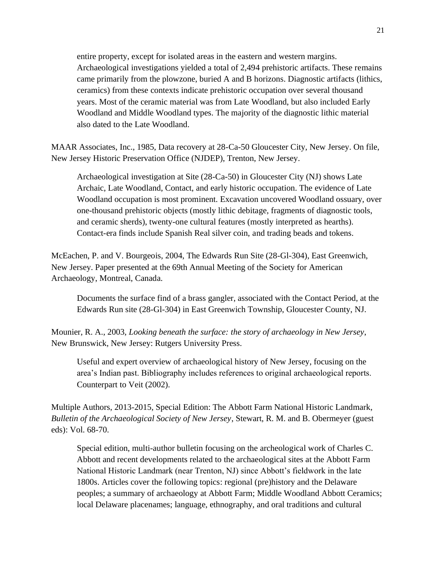entire property, except for isolated areas in the eastern and western margins. Archaeological investigations yielded a total of 2,494 prehistoric artifacts. These remains came primarily from the plowzone, buried A and B horizons. Diagnostic artifacts (lithics, ceramics) from these contexts indicate prehistoric occupation over several thousand years. Most of the ceramic material was from Late Woodland, but also included Early Woodland and Middle Woodland types. The majority of the diagnostic lithic material also dated to the Late Woodland.

MAAR Associates, Inc., 1985, Data recovery at 28-Ca-50 Gloucester City, New Jersey. On file, New Jersey Historic Preservation Office (NJDEP), Trenton, New Jersey.

Archaeological investigation at Site (28-Ca-50) in Gloucester City (NJ) shows Late Archaic, Late Woodland, Contact, and early historic occupation. The evidence of Late Woodland occupation is most prominent. Excavation uncovered Woodland ossuary, over one-thousand prehistoric objects (mostly lithic debitage, fragments of diagnostic tools, and ceramic sherds), twenty-one cultural features (mostly interpreted as hearths). Contact-era finds include Spanish Real silver coin, and trading beads and tokens.

McEachen, P. and V. Bourgeois, 2004, The Edwards Run Site (28-Gl-304), East Greenwich, New Jersey. Paper presented at the 69th Annual Meeting of the Society for American Archaeology, Montreal, Canada.

Documents the surface find of a brass gangler, associated with the Contact Period, at the Edwards Run site (28-Gl-304) in East Greenwich Township, Gloucester County, NJ.

Mounier, R. A., 2003, *Looking beneath the surface: the story of archaeology in New Jersey*, New Brunswick, New Jersey: Rutgers University Press.

Useful and expert overview of archaeological history of New Jersey, focusing on the area's Indian past. Bibliography includes references to original archaeological reports. Counterpart to Veit (2002).

Multiple Authors, 2013-2015, Special Edition: The Abbott Farm National Historic Landmark, *Bulletin of the Archaeological Society of New Jersey*, Stewart, R. M. and B. Obermeyer (guest eds): Vol. 68-70.

Special edition, multi-author bulletin focusing on the archeological work of Charles C. Abbott and recent developments related to the archaeological sites at the Abbott Farm National Historic Landmark (near Trenton, NJ) since Abbott's fieldwork in the late 1800s. Articles cover the following topics: regional (pre)history and the Delaware peoples; a summary of archaeology at Abbott Farm; Middle Woodland Abbott Ceramics; local Delaware placenames; language, ethnography, and oral traditions and cultural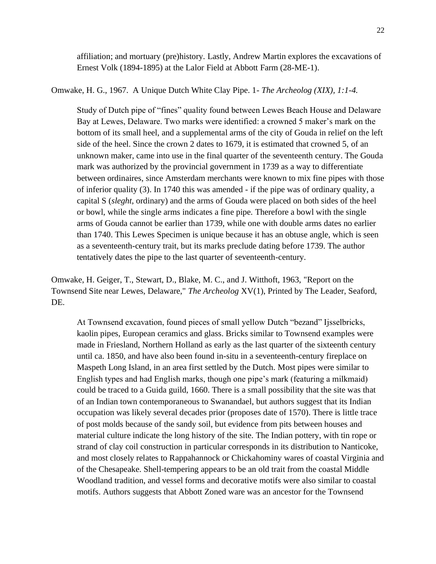affiliation; and mortuary (pre)history. Lastly, Andrew Martin explores the excavations of Ernest Volk (1894-1895) at the Lalor Field at Abbott Farm (28-ME-1).

Omwake, H. G., 1967. A Unique Dutch White Clay Pipe. 1- *The Archeolog (XIX), 1:1-4.* 

Study of Dutch pipe of "fines" quality found between Lewes Beach House and Delaware Bay at Lewes, Delaware. Two marks were identified: a crowned 5 maker's mark on the bottom of its small heel, and a supplemental arms of the city of Gouda in relief on the left side of the heel. Since the crown 2 dates to 1679, it is estimated that crowned 5, of an unknown maker, came into use in the final quarter of the seventeenth century. The Gouda mark was authorized by the provincial government in 1739 as a way to differentiate between ordinaires, since Amsterdam merchants were known to mix fine pipes with those of inferior quality (3). In 1740 this was amended - if the pipe was of ordinary quality, a capital S (*sleght*, ordinary) and the arms of Gouda were placed on both sides of the heel or bowl, while the single arms indicates a fine pipe. Therefore a bowl with the single arms of Gouda cannot be earlier than 1739, while one with double arms dates no earlier than 1740. This Lewes Specimen is unique because it has an obtuse angle, which is seen as a seventeenth-century trait, but its marks preclude dating before 1739. The author tentatively dates the pipe to the last quarter of seventeenth-century.

Omwake, H. Geiger, T., Stewart, D., Blake, M. C., and J. Witthoft, 1963, "Report on the Townsend Site near Lewes, Delaware," *The Archeolog* XV(1), Printed by The Leader, Seaford, DE.

At Townsend excavation, found pieces of small yellow Dutch "bezand" Ijsselbricks, kaolin pipes, European ceramics and glass. Bricks similar to Townsend examples were made in Friesland, Northern Holland as early as the last quarter of the sixteenth century until ca. 1850, and have also been found in-situ in a seventeenth-century fireplace on Maspeth Long Island, in an area first settled by the Dutch. Most pipes were similar to English types and had English marks, though one pipe's mark (featuring a milkmaid) could be traced to a Guida guild, 1660. There is a small possibility that the site was that of an Indian town contemporaneous to Swanandael, but authors suggest that its Indian occupation was likely several decades prior (proposes date of 1570). There is little trace of post molds because of the sandy soil, but evidence from pits between houses and material culture indicate the long history of the site. The Indian pottery, with tin rope or strand of clay coil construction in particular corresponds in its distribution to Nanticoke, and most closely relates to Rappahannock or Chickahominy wares of coastal Virginia and of the Chesapeake. Shell-tempering appears to be an old trait from the coastal Middle Woodland tradition, and vessel forms and decorative motifs were also similar to coastal motifs. Authors suggests that Abbott Zoned ware was an ancestor for the Townsend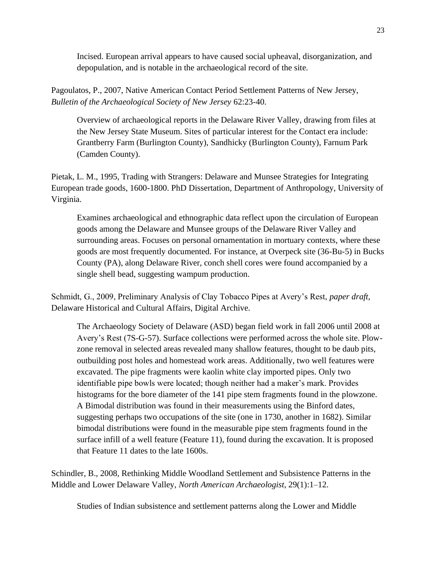Incised. European arrival appears to have caused social upheaval, disorganization, and depopulation, and is notable in the archaeological record of the site.

Pagoulatos, P., 2007, Native American Contact Period Settlement Patterns of New Jersey, *Bulletin of the Archaeological Society of New Jersey* 62:23-40.

Overview of archaeological reports in the Delaware River Valley, drawing from files at the New Jersey State Museum. Sites of particular interest for the Contact era include: Grantberry Farm (Burlington County), Sandhicky (Burlington County), Farnum Park (Camden County).

Pietak, L. M., 1995, Trading with Strangers: Delaware and Munsee Strategies for Integrating European trade goods, 1600-1800. PhD Dissertation, Department of Anthropology, University of Virginia.

Examines archaeological and ethnographic data reflect upon the circulation of European goods among the Delaware and Munsee groups of the Delaware River Valley and surrounding areas. Focuses on personal ornamentation in mortuary contexts, where these goods are most frequently documented. For instance, at Overpeck site (36-Bu-5) in Bucks County (PA), along Delaware River, conch shell cores were found accompanied by a single shell bead, suggesting wampum production.

Schmidt, G., 2009, Preliminary Analysis of Clay Tobacco Pipes at Avery's Rest, *paper draft*, Delaware Historical and Cultural Affairs, Digital Archive.

The Archaeology Society of Delaware (ASD) began field work in fall 2006 until 2008 at Avery's Rest (7S-G-57). Surface collections were performed across the whole site. Plowzone removal in selected areas revealed many shallow features, thought to be daub pits, outbuilding post holes and homestead work areas. Additionally, two well features were excavated. The pipe fragments were kaolin white clay imported pipes. Only two identifiable pipe bowls were located; though neither had a maker's mark. Provides histograms for the bore diameter of the 141 pipe stem fragments found in the plowzone. A Bimodal distribution was found in their measurements using the Binford dates, suggesting perhaps two occupations of the site (one in 1730, another in 1682). Similar bimodal distributions were found in the measurable pipe stem fragments found in the surface infill of a well feature (Feature 11), found during the excavation. It is proposed that Feature 11 dates to the late 1600s.

Schindler, B., 2008, Rethinking Middle Woodland Settlement and Subsistence Patterns in the Middle and Lower Delaware Valley, *North American Archaeologist*, 29(1):1–12.

Studies of Indian subsistence and settlement patterns along the Lower and Middle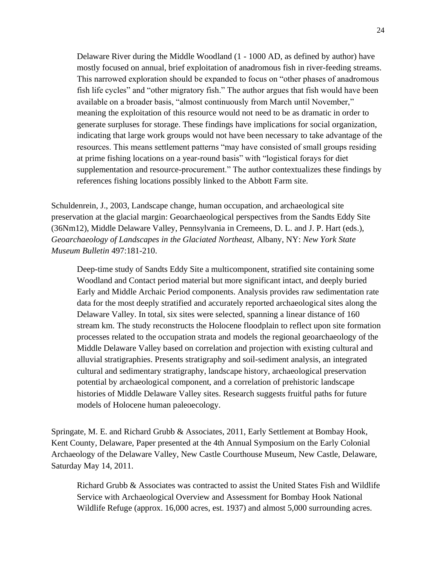Delaware River during the Middle Woodland (1 - 1000 AD, as defined by author) have mostly focused on annual, brief exploitation of anadromous fish in river-feeding streams. This narrowed exploration should be expanded to focus on "other phases of anadromous fish life cycles" and "other migratory fish." The author argues that fish would have been available on a broader basis, "almost continuously from March until November," meaning the exploitation of this resource would not need to be as dramatic in order to generate surpluses for storage. These findings have implications for social organization, indicating that large work groups would not have been necessary to take advantage of the resources. This means settlement patterns "may have consisted of small groups residing at prime fishing locations on a year-round basis" with "logistical forays for diet supplementation and resource-procurement." The author contextualizes these findings by references fishing locations possibly linked to the Abbott Farm site.

Schuldenrein, J., 2003, Landscape change, human occupation, and archaeological site preservation at the glacial margin: Geoarchaeological perspectives from the Sandts Eddy Site (36Nm12), Middle Delaware Valley, Pennsylvania in Cremeens, D. L. and J. P. Hart (eds.), *Geoarchaeology of Landscapes in the Glaciated Northeast,* Albany, NY: *New York State Museum Bulletin* 497:181-210.

Deep-time study of Sandts Eddy Site a multicomponent, stratified site containing some Woodland and Contact period material but more significant intact, and deeply buried Early and Middle Archaic Period components. Analysis provides raw sedimentation rate data for the most deeply stratified and accurately reported archaeological sites along the Delaware Valley. In total, six sites were selected, spanning a linear distance of 160 stream km. The study reconstructs the Holocene floodplain to reflect upon site formation processes related to the occupation strata and models the regional geoarchaeology of the Middle Delaware Valley based on correlation and projection with existing cultural and alluvial stratigraphies. Presents stratigraphy and soil-sediment analysis, an integrated cultural and sedimentary stratigraphy, landscape history, archaeological preservation potential by archaeological component, and a correlation of prehistoric landscape histories of Middle Delaware Valley sites. Research suggests fruitful paths for future models of Holocene human paleoecology.

Springate, M. E. and Richard Grubb & Associates, 2011, Early Settlement at Bombay Hook, Kent County, Delaware, Paper presented at the 4th Annual Symposium on the Early Colonial Archaeology of the Delaware Valley, New Castle Courthouse Museum, New Castle, Delaware, Saturday May 14, 2011.

Richard Grubb & Associates was contracted to assist the United States Fish and Wildlife Service with Archaeological Overview and Assessment for Bombay Hook National Wildlife Refuge (approx. 16,000 acres, est. 1937) and almost 5,000 surrounding acres.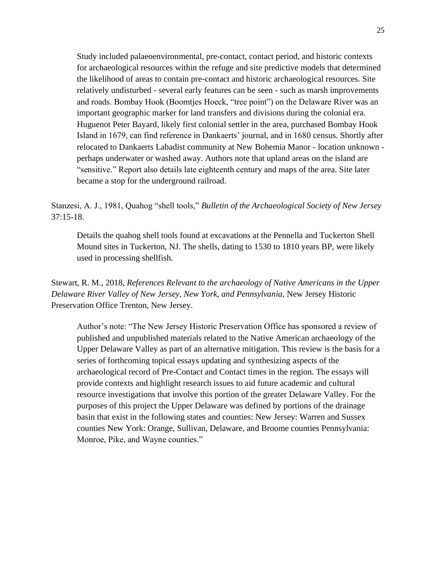Study included palaeoenvironmental, pre-contact, contact period, and historic contexts for archaeological resources within the refuge and site predictive models that determined the likelihood of areas to contain pre-contact and historic archaeological resources. Site relatively undisturbed - several early features can be seen - such as marsh improvements and roads. Bombay Hook (Boomtjes Hoeck, "tree point") on the Delaware River was an important geographic marker for land transfers and divisions during the colonial era. Huguenot Peter Bayard, likely first colonial settler in the area, purchased Bombay Hook Island in 1679, can find reference in Dankaerts' journal, and in 1680 census. Shortly after relocated to Dankaerts Labadist community at New Bohemia Manor - location unknown perhaps underwater or washed away. Authors note that upland areas on the island are "sensitive." Report also details late eighteenth century and maps of the area. Site later became a stop for the underground railroad.

Stanzesi, A. J., 1981, Quahog "shell tools," *Bulletin of the Archaeological Society of New Jersey*  $37:15-18$ .

Details the quahog shell tools found at excavations at the Pennella and Tuckerton Shell Mound sites in Tuckerton, NJ. The shells, dating to 1530 to 1810 years BP, were likely used in processing shellfish.

Stewart, R. M., 2018, *References Relevant to the archaeology of Native Americans in the Upper Delaware River Valley of New Jersey, New York, and Pennsylvania*, New Jersey Historic Preservation Office Trenton, New Jersey.

Author's note: "The New Jersey Historic Preservation Office has sponsored a review of published and unpublished materials related to the Native American archaeology of the Upper Delaware Valley as part of an alternative mitigation. This review is the basis for a series of forthcoming topical essays updating and synthesizing aspects of the archaeological record of Pre-Contact and Contact times in the region. The essays will provide contexts and highlight research issues to aid future academic and cultural resource investigations that involve this portion of the greater Delaware Valley. For the purposes of this project the Upper Delaware was defined by portions of the drainage basin that exist in the following states and counties: New Jersey: Warren and Sussex counties New York: Orange, Sullivan, Delaware, and Broome counties Pennsylvania: Monroe, Pike, and Wayne counties."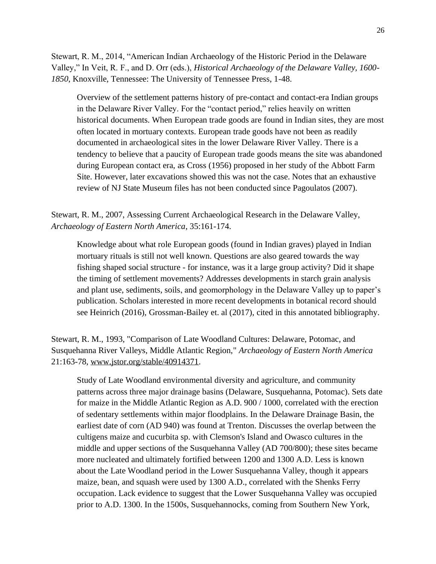Stewart, R. M., 2014, "American Indian Archaeology of the Historic Period in the Delaware Valley," In Veit, R. F., and D. Orr (eds.), *Historical Archaeology of the Delaware Valley, 1600- 1850*, Knoxville, Tennessee: The University of Tennessee Press, 1-48.

Overview of the settlement patterns history of pre-contact and contact-era Indian groups in the Delaware River Valley. For the "contact period," relies heavily on written historical documents. When European trade goods are found in Indian sites, they are most often located in mortuary contexts. European trade goods have not been as readily documented in archaeological sites in the lower Delaware River Valley. There is a tendency to believe that a paucity of European trade goods means the site was abandoned during European contact era, as Cross (1956) proposed in her study of the Abbott Farm Site. However, later excavations showed this was not the case. Notes that an exhaustive review of NJ State Museum files has not been conducted since Pagoulatos (2007).

Stewart, R. M., 2007, Assessing Current Archaeological Research in the Delaware Valley, *Archaeology of Eastern North America*, 35:161-174.

Knowledge about what role European goods (found in Indian graves) played in Indian mortuary rituals is still not well known. Questions are also geared towards the way fishing shaped social structure - for instance, was it a large group activity? Did it shape the timing of settlement movements? Addresses developments in starch grain analysis and plant use, sediments, soils, and geomorphology in the Delaware Valley up to paper's publication. Scholars interested in more recent developments in botanical record should see Heinrich (2016), Grossman-Bailey et. al (2017), cited in this annotated bibliography.

Stewart, R. M., 1993, "Comparison of Late Woodland Cultures: Delaware, Potomac, and Susquehanna River Valleys, Middle Atlantic Region," *Archaeology of Eastern North America* 21:163-78, [www.jstor.org/stable/40914371.](http://www.jstor.org/stable/40914371)

Study of Late Woodland environmental diversity and agriculture, and community patterns across three major drainage basins (Delaware, Susquehanna, Potomac). Sets date for maize in the Middle Atlantic Region as A.D. 900 / 1000, correlated with the erection of sedentary settlements within major floodplains. In the Delaware Drainage Basin, the earliest date of corn (AD 940) was found at Trenton. Discusses the overlap between the cultigens maize and cucurbita sp. with Clemson's Island and Owasco cultures in the middle and upper sections of the Susquehanna Valley (AD 700/800); these sites became more nucleated and ultimately fortified between 1200 and 1300 A.D. Less is known about the Late Woodland period in the Lower Susquehanna Valley, though it appears maize, bean, and squash were used by 1300 A.D., correlated with the Shenks Ferry occupation. Lack evidence to suggest that the Lower Susquehanna Valley was occupied prior to A.D. 1300. In the 1500s, Susquehannocks, coming from Southern New York,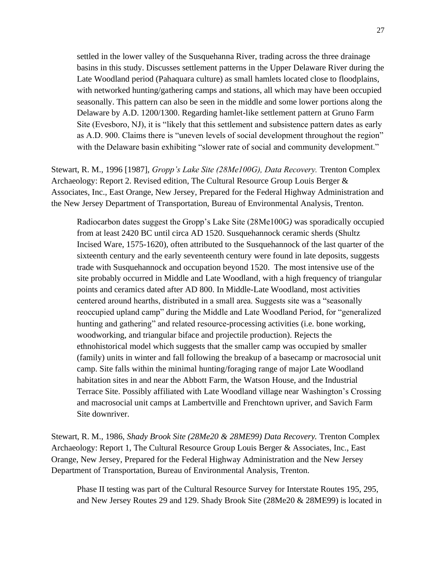settled in the lower valley of the Susquehanna River, trading across the three drainage basins in this study. Discusses settlement patterns in the Upper Delaware River during the Late Woodland period (Pahaquara culture) as small hamlets located close to floodplains, with networked hunting/gathering camps and stations, all which may have been occupied seasonally. This pattern can also be seen in the middle and some lower portions along the Delaware by A.D. 1200/1300. Regarding hamlet-like settlement pattern at Gruno Farm Site (Evesboro, NJ), it is "likely that this settlement and subsistence pattern dates as early as A.D. 900. Claims there is "uneven levels of social development throughout the region" with the Delaware basin exhibiting "slower rate of social and community development."

Stewart, R. M., 1996 [1987], *Gropp's Lake Site (28Me100G), Data Recovery.* Trenton Complex Archaeology: Report 2. Revised edition, The Cultural Resource Group Louis Berger & Associates, Inc., East Orange, New Jersey, Prepared for the Federal Highway Administration and the New Jersey Department of Transportation, Bureau of Environmental Analysis, Trenton.

Radiocarbon dates suggest the Gropp's Lake Site (28Me100G*)* was sporadically occupied from at least 2420 BC until circa AD 1520. Susquehannock ceramic sherds (Shultz Incised Ware, 1575-1620), often attributed to the Susquehannock of the last quarter of the sixteenth century and the early seventeenth century were found in late deposits, suggests trade with Susquehannock and occupation beyond 1520. The most intensive use of the site probably occurred in Middle and Late Woodland, with a high frequency of triangular points and ceramics dated after AD 800. In Middle-Late Woodland, most activities centered around hearths, distributed in a small area. Suggests site was a "seasonally reoccupied upland camp" during the Middle and Late Woodland Period, for "generalized hunting and gathering" and related resource-processing activities (i.e. bone working, woodworking, and triangular biface and projectile production). Rejects the ethnohistorical model which suggests that the smaller camp was occupied by smaller (family) units in winter and fall following the breakup of a basecamp or macrosocial unit camp. Site falls within the minimal hunting/foraging range of major Late Woodland habitation sites in and near the Abbott Farm, the Watson House, and the Industrial Terrace Site. Possibly affiliated with Late Woodland village near Washington's Crossing and macrosocial unit camps at Lambertville and Frenchtown upriver, and Savich Farm Site downriver.

Stewart, R. M., 1986, *Shady Brook Site (28Me20 & 28ME99) Data Recovery.* Trenton Complex Archaeology: Report 1, The Cultural Resource Group Louis Berger & Associates, Inc., East Orange, New Jersey, Prepared for the Federal Highway Administration and the New Jersey Department of Transportation, Bureau of Environmental Analysis, Trenton.

Phase II testing was part of the Cultural Resource Survey for Interstate Routes 195, 295, and New Jersey Routes 29 and 129. Shady Brook Site (28Me20 & 28ME99) is located in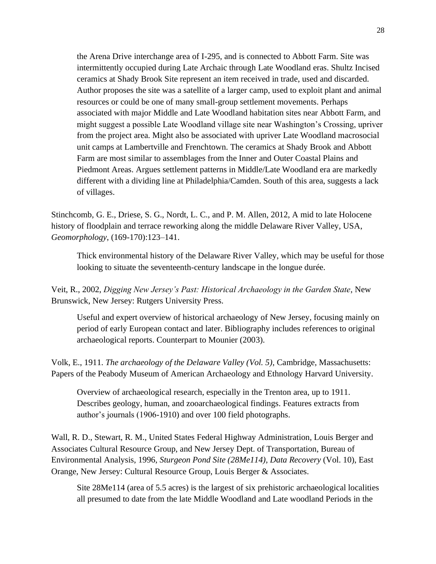the Arena Drive interchange area of I-295, and is connected to Abbott Farm. Site was intermittently occupied during Late Archaic through Late Woodland eras. Shultz Incised ceramics at Shady Brook Site represent an item received in trade, used and discarded. Author proposes the site was a satellite of a larger camp, used to exploit plant and animal resources or could be one of many small-group settlement movements. Perhaps associated with major Middle and Late Woodland habitation sites near Abbott Farm, and might suggest a possible Late Woodland village site near Washington's Crossing, upriver from the project area. Might also be associated with upriver Late Woodland macrosocial unit camps at Lambertville and Frenchtown. The ceramics at Shady Brook and Abbott Farm are most similar to assemblages from the Inner and Outer Coastal Plains and Piedmont Areas. Argues settlement patterns in Middle/Late Woodland era are markedly different with a dividing line at Philadelphia/Camden. South of this area, suggests a lack of villages.

Stinchcomb, G. E., Driese, S. G., Nordt, L. C., and P. M. Allen, 2012, A mid to late Holocene history of floodplain and terrace reworking along the middle Delaware River Valley, USA, *Geomorphology*, (169-170):123–141.

Thick environmental history of the Delaware River Valley, which may be useful for those looking to situate the seventeenth-century landscape in the longue durée.

Veit, R., 2002, *Digging New Jersey's Past: Historical Archaeology in the Garden State*, New Brunswick, New Jersey: Rutgers University Press.

Useful and expert overview of historical archaeology of New Jersey, focusing mainly on period of early European contact and later. Bibliography includes references to original archaeological reports. Counterpart to Mounier (2003).

Volk, E., 1911. *The archaeology of the Delaware Valley (Vol. 5)*, Cambridge, Massachusetts: Papers of the Peabody Museum of American Archaeology and Ethnology Harvard University.

Overview of archaeological research, especially in the Trenton area, up to 1911. Describes geology, human, and zooarchaeological findings. Features extracts from author's journals (1906-1910) and over 100 field photographs.

Wall, R. D., Stewart, R. M., United States Federal Highway Administration, Louis Berger and Associates Cultural Resource Group, and New Jersey Dept. of Transportation, Bureau of Environmental Analysis, 1996, *Sturgeon Pond Site (28Me114), Data Recovery* (Vol. 10), East Orange, New Jersey: Cultural Resource Group, Louis Berger & Associates.

Site 28Me114 (area of 5.5 acres) is the largest of six prehistoric archaeological localities all presumed to date from the late Middle Woodland and Late woodland Periods in the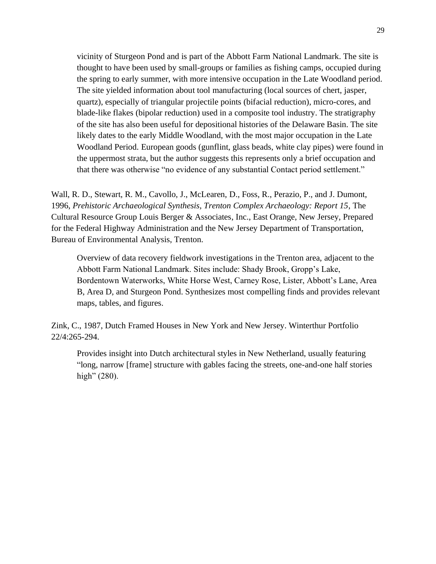vicinity of Sturgeon Pond and is part of the Abbott Farm National Landmark. The site is thought to have been used by small-groups or families as fishing camps, occupied during the spring to early summer, with more intensive occupation in the Late Woodland period. The site yielded information about tool manufacturing (local sources of chert, jasper, quartz), especially of triangular projectile points (bifacial reduction), micro-cores, and blade-like flakes (bipolar reduction) used in a composite tool industry. The stratigraphy of the site has also been useful for depositional histories of the Delaware Basin. The site likely dates to the early Middle Woodland, with the most major occupation in the Late Woodland Period. European goods (gunflint, glass beads, white clay pipes) were found in the uppermost strata, but the author suggests this represents only a brief occupation and that there was otherwise "no evidence of any substantial Contact period settlement."

Wall, R. D., Stewart, R. M., Cavollo, J., McLearen, D., Foss, R., Perazio, P., and J. Dumont, 1996, *Prehistoric Archaeological Synthesis, Trenton Complex Archaeology: Report 15*, The Cultural Resource Group Louis Berger & Associates, Inc., East Orange, New Jersey, Prepared for the Federal Highway Administration and the New Jersey Department of Transportation, Bureau of Environmental Analysis, Trenton.

Overview of data recovery fieldwork investigations in the Trenton area, adjacent to the Abbott Farm National Landmark. Sites include: Shady Brook, Gropp's Lake, Bordentown Waterworks, White Horse West, Carney Rose, Lister, Abbott's Lane, Area B, Area D, and Sturgeon Pond. Synthesizes most compelling finds and provides relevant maps, tables, and figures.

Zink, C., 1987, Dutch Framed Houses in New York and New Jersey. Winterthur Portfolio 22/4:265-294.

Provides insight into Dutch architectural styles in New Netherland, usually featuring "long, narrow [frame] structure with gables facing the streets, one-and-one half stories high" (280).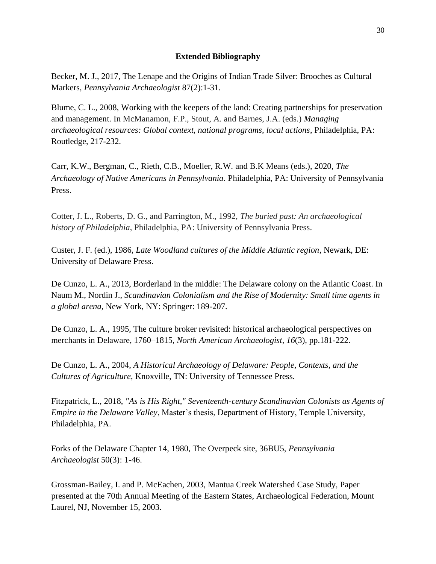## **Extended Bibliography**

Becker, M. J., 2017, The Lenape and the Origins of Indian Trade Silver: Brooches as Cultural Markers, *Pennsylvania Archaeologist* 87(2):1-31.

Blume, C. L., 2008, Working with the keepers of the land: Creating partnerships for preservation and management. In McManamon, F.P., Stout, A. and Barnes, J.A. (eds.) *Managing archaeological resources: Global context, national programs, local actions*, Philadelphia, PA: Routledge, 217-232.

Carr, K.W., Bergman, C., Rieth, C.B., Moeller, R.W. and B.K Means (eds.), 2020, *The Archaeology of Native Americans in Pennsylvania*. Philadelphia, PA: University of Pennsylvania Press.

Cotter, J. L., Roberts, D. G., and Parrington, M., 1992, *The buried past: An archaeological history of Philadelphia*, Philadelphia, PA: University of Pennsylvania Press.

Custer, J. F. (ed.), 1986, *Late Woodland cultures of the Middle Atlantic region*, Newark, DE: University of Delaware Press.

De Cunzo, L. A., 2013, Borderland in the middle: The Delaware colony on the Atlantic Coast. In Naum M., Nordin J., *Scandinavian Colonialism and the Rise of Modernity: Small time agents in a global arena*, New York, NY: Springer: 189-207.

De Cunzo, L. A., 1995, The culture broker revisited: historical archaeological perspectives on merchants in Delaware, 1760–1815, *North American Archaeologist*, *16*(3), pp.181-222.

De Cunzo, L. A., 2004, *A Historical Archaeology of Delaware: People, Contexts, and the Cultures of Agriculture*, Knoxville, TN: University of Tennessee Press.

Fitzpatrick, L., 2018, *"As is His Right," Seventeenth-century Scandinavian Colonists as Agents of Empire in the Delaware Valley*, Master's thesis, Department of History, Temple University, Philadelphia, PA.

Forks of the Delaware Chapter 14, 1980, The Overpeck site, 36BU5, *Pennsylvania Archaeologist* 50(3): 1-46.

Grossman-Bailey, I. and P. McEachen, 2003, Mantua Creek Watershed Case Study, Paper presented at the 70th Annual Meeting of the Eastern States, Archaeological Federation, Mount Laurel, NJ, November 15, 2003.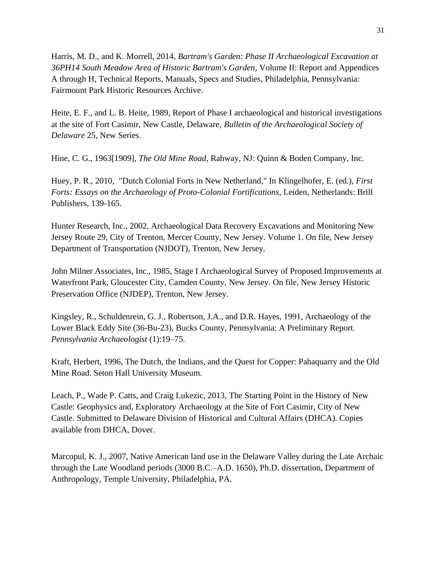Harris, M. D., and K. Morrell, 2014, *Bartram's Garden: Phase II Archaeological Excavation at 36PH14 South Meadow Area of Historic Bartram's Garden*, Volume II: Report and Appendices A through H, Technical Reports, Manuals, Specs and Studies, Philadelphia, Pennsylvania: Fairmount Park Historic Resources Archive.

Heite, E. F., and L. B. Heite, 1989, Report of Phase I archaeological and historical investigations at the site of Fort Casimir, New Castle, Delaware, *Bulletin of the Archaeological Society of Delaware* 25, New Series.

Hine, C. G., 1963[1909], *The Old Mine Road*, Rahway, NJ: Quinn & Boden Company, Inc.

Huey, P. R., 2010, "Dutch Colonial Forts in New Netherland," In Klingelhofer, E. (ed.), *First Forts: Essays on the Archaeology of Proto-Colonial Fortifications*, Leiden, Netherlands: Brill Publishers, 139-165.

Hunter Research, Inc., 2002, Archaeological Data Recovery Excavations and Monitoring New Jersey Route 29, City of Trenton, Mercer County, New Jersey. Volume 1. On file, New Jersey Department of Transportation (NJDOT), Trenton, New Jersey.

John Milner Associates, Inc., 1985, Stage I Archaeological Survey of Proposed Improvements at Waterfront Park, Gloucester City, Camden County, New Jersey. On file, New Jersey Historic Preservation Office (NJDEP), Trenton, New Jersey.

Kingsley, R., Schuldenrein, G. J., Robertson, J.A., and D.R. Hayes, 1991, Archaeology of the Lower Black Eddy Site (36-Bu-23), Bucks County, Pennsylvania: A Preliminary Report. *Pennsylvania Archaeologist* (1):19–75.

Kraft, Herbert, 1996, The Dutch, the Indians, and the Quest for Copper: Pahaquarry and the Old Mine Road. Seton Hall University Museum.

Leach, P., Wade P. Catts, and Craig Lukezic, 2013, The Starting Point in the History of New Castle: Geophysics and, Exploratory Archaeology at the Site of Fort Casimir, City of New Castle. Submitted to Delaware Division of Historical and Cultural Affairs (DHCA). Copies available from DHCA, Dover.

Marcopul, K. J., 2007, Native American land use in the Delaware Valley during the Late Archaic through the Late Woodland periods (3000 B.C.–A.D. 1650), Ph.D. dissertation, Department of Anthropology, Temple University, Philadelphia, PA.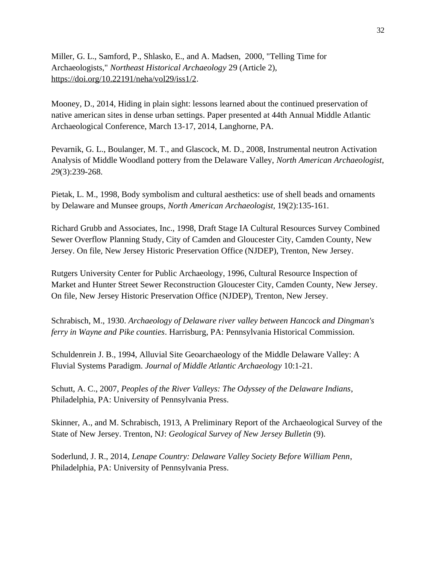Miller, G. L., Samford, P., Shlasko, E., and A. Madsen, 2000, "Telling Time for Archaeologists," *Northeast Historical Archaeology* 29 (Article 2), [https://doi.org/10.22191/neha/vol29/iss1/2.](https://doi.org/10.22191/neha/vol29/iss1/2)

Mooney, D., 2014, Hiding in plain sight: lessons learned about the continued preservation of native american sites in dense urban settings. Paper presented at 44th Annual Middle Atlantic Archaeological Conference, March 13-17, 2014, Langhorne, PA.

Pevarnik, G. L., Boulanger, M. T., and Glascock, M. D., 2008, Instrumental neutron Activation Analysis of Middle Woodland pottery from the Delaware Valley, *North American Archaeologist*, *29*(3):239-268.

Pietak, L. M., 1998, Body symbolism and cultural aesthetics: use of shell beads and ornaments by Delaware and Munsee groups, *North American Archaeologist,* 19(2):135-161.

Richard Grubb and Associates, Inc., 1998, Draft Stage IA Cultural Resources Survey Combined Sewer Overflow Planning Study, City of Camden and Gloucester City, Camden County, New Jersey. On file, New Jersey Historic Preservation Office (NJDEP), Trenton, New Jersey.

Rutgers University Center for Public Archaeology, 1996, Cultural Resource Inspection of Market and Hunter Street Sewer Reconstruction Gloucester City, Camden County, New Jersey. On file, New Jersey Historic Preservation Office (NJDEP), Trenton, New Jersey.

Schrabisch, M., 1930. *Archaeology of Delaware river valley between Hancock and Dingman's ferry in Wayne and Pike counties*. Harrisburg, PA: Pennsylvania Historical Commission.

Schuldenrein J. B., 1994, Alluvial Site Geoarchaeology of the Middle Delaware Valley: A Fluvial Systems Paradigm. *Journal of Middle Atlantic Archaeology* 10:1-21.

Schutt, A. C., 2007, *Peoples of the River Valleys: The Odyssey of the Delaware Indians*, Philadelphia, PA: University of Pennsylvania Press.

Skinner, A., and M. Schrabisch, 1913, A Preliminary Report of the Archaeological Survey of the State of New Jersey. Trenton, NJ: *Geological Survey of New Jersey Bulletin* (9).

Soderlund, J. R., 2014, *Lenape Country: Delaware Valley Society Before William Penn*, Philadelphia, PA: University of Pennsylvania Press.